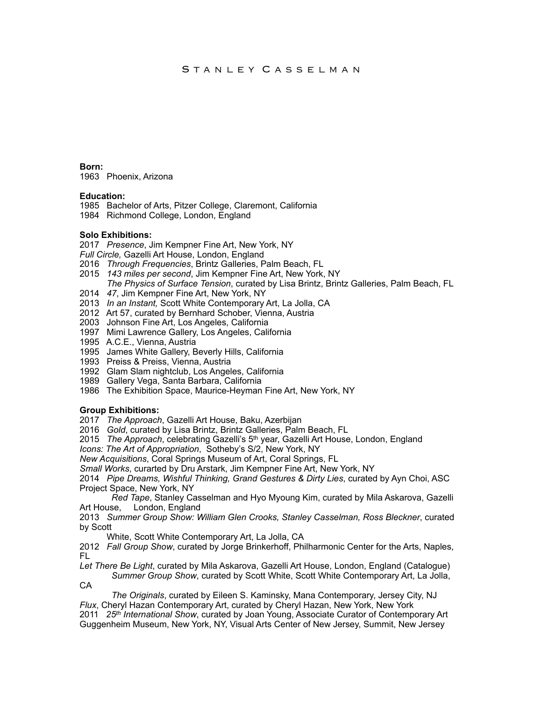#### **Born:**

1963 Phoenix, Arizona

### **Education:**

1985 Bachelor of Arts, Pitzer College, Claremont, California

1984 Richmond College, London, England

# **Solo Exhibitions:**

2017 *Presence*, Jim Kempner Fine Art, New York, NY

- *Full Circle,* Gazelli Art House, London, England
- 2016 *Through Frequencies*, Brintz Galleries, Palm Beach, FL
- 2015 *143 miles per second*, Jim Kempner Fine Art, New York, NY
	- *The Physics of Surface Tension*, curated by Lisa Brintz, Brintz Galleries, Palm Beach, FL
- 2014 *47*, Jim Kempner Fine Art, New York, NY
- 2013 *In an Instant,* Scott White Contemporary Art, La Jolla, CA
- 2012 Art 57, curated by Bernhard Schober, Vienna, Austria
- 2003 Johnson Fine Art, Los Angeles, California
- 1997 Mimi Lawrence Gallery, Los Angeles, California
- 1995 A.C.E., Vienna, Austria
- 1995 James White Gallery, Beverly Hills, California
- 1993 Preiss & Preiss, Vienna, Austria
- 1992 Glam Slam nightclub, Los Angeles, California
- 1989 Gallery Vega, Santa Barbara, California
- 1986 The Exhibition Space, Maurice-Heyman Fine Art, New York, NY

# **Group Exhibitions:**

2017 *The Approach*, Gazelli Art House, Baku, Azerbijan

- 2016 *Gold*, curated by Lisa Brintz, Brintz Galleries, Palm Beach, FL
- 2015 *The Approach*, celebrating Gazelli's 5th year, Gazelli Art House, London, England

*Icons: The Art of Appropriation*, Sotheby's S/2, New York, NY

*New Acquisitions*, Coral Springs Museum of Art, Coral Springs, FL

*Small Works*, curarted by Dru Arstark, Jim Kempner Fine Art, New York, NY

2014 *Pipe Dreams, Wishful Thinking, Grand Gestures & Dirty Lies*, curated by Ayn Choi, ASC Project Space, New York, NY

*Red Tape*, Stanley Casselman and Hyo Myoung Kim, curated by Mila Askarova, Gazelli Art House, London, England

2013 *Summer Group Show: William Glen Crooks, Stanley Casselman, Ross Bleckner*, curated by Scott

White, Scott White Contemporary Art, La Jolla, CA

2012 *Fall Group Show*, curated by Jorge Brinkerhoff, Philharmonic Center for the Arts, Naples, FL

*Let There Be Light*, curated by Mila Askarova, Gazelli Art House, London, England (Catalogue) *Summer Group Show*, curated by Scott White, Scott White Contemporary Art, La Jolla,

CA

*The Originals*, curated by Eileen S. Kaminsky, Mana Contemporary, Jersey City, NJ *Flux*, Cheryl Hazan Contemporary Art, curated by Cheryl Hazan, New York, New York 2011 *25th International Show*, curated by Joan Young, Associate Curator of Contemporary Art Guggenheim Museum, New York, NY, Visual Arts Center of New Jersey, Summit, New Jersey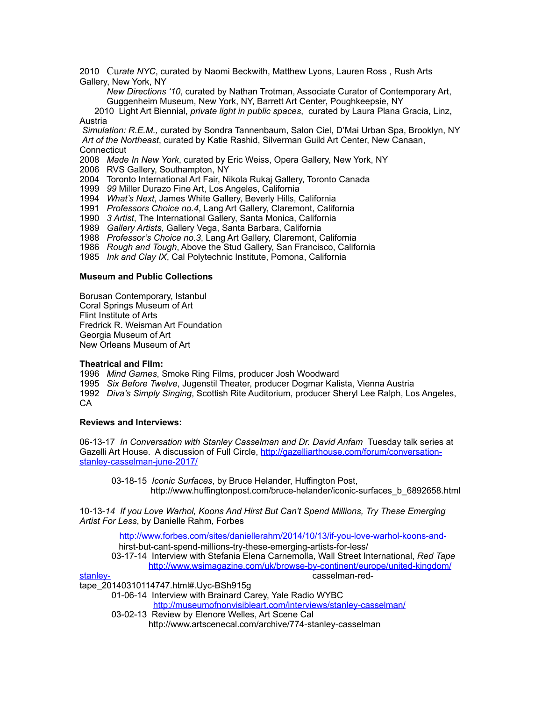2010 Cu*rate NYC*, curated by Naomi Beckwith, Matthew Lyons, Lauren Ross , Rush Arts Gallery, New York, NY

 *New Directions '10*, curated by Nathan Trotman, Associate Curator of Contemporary Art, Guggenheim Museum, New York, NY, Barrett Art Center, Poughkeepsie, NY

 2010 Light Art Biennial, *private light in public spaces*, curated by Laura Plana Gracia, Linz, Austria

*Simulation: R.E.M.,* curated by Sondra Tannenbaum, Salon Ciel, D'Mai Urban Spa, Brooklyn, NY *Art of the Northeast*, curated by Katie Rashid, Silverman Guild Art Center, New Canaan, **Connecticut** 

2008 *Made In New York*, curated by Eric Weiss, Opera Gallery, New York, NY

2006 RVS Gallery, Southampton, NY

2004 Toronto International Art Fair, Nikola Rukaj Gallery, Toronto Canada

1999 *99* Miller Durazo Fine Art, Los Angeles, California

1994 *What's Next*, James White Gallery, Beverly Hills, California

1991 *Professors Choice no.4*, Lang Art Gallery, Claremont, California

1990 *3 Artist*, The International Gallery, Santa Monica, California

1989 *Gallery Artists*, Gallery Vega, Santa Barbara, California

1988 *Professor's Choice no.3*, Lang Art Gallery, Claremont, California

1986 *Rough and Tough*, Above the Stud Gallery, San Francisco, California

1985 *Ink and Clay IX*, Cal Polytechnic Institute, Pomona, California

#### **Museum and Public Collections**

Borusan Contemporary, Istanbul Coral Springs Museum of Art Flint Institute of Arts Fredrick R. Weisman Art Foundation Georgia Museum of Art New Orleans Museum of Art

#### **Theatrical and Film:**

1996 *Mind Games*, Smoke Ring Films, producer Josh Woodward

1995 *Six Before Twelve*, Jugenstil Theater, producer Dogmar Kalista, Vienna Austria

1992 *Diva's Simply Singing*, Scottish Rite Auditorium, producer Sheryl Lee Ralph, Los Angeles, CA

# **Reviews and Interviews:**

06-13-17 *In Conversation with Stanley Casselman and Dr. David Anfam Tuesday talk series at* Gazelli Art House. A discussion of Full Circle, http://gazelliarthouse.com/forum/conversationstanley-casselman-june-2017/

03-18-15 *Iconic Surfaces*, by Bruce Helander, Huffington Post, http://www.huffingtonpost.com/bruce-helander/iconic-surfaces\_b\_6892658.html

10-13-*14 If you Love Warhol, Koons And Hirst But Can't Spend Millions, Try These Emerging Artist For Less*, by Danielle Rahm, Forbes

http://www.forbes.com/sites/daniellerahm/2014/10/13/if-you-love-warhol-koons-and-

hirst-but-cant-spend-millions-try-these-emerging-artists-for-less/

03-17-14 Interview with Stefania Elena Carnemolla, Wall Street International, *Red Tape* http://www.wsimagazine.com/uk/browse-by-continent/europe/united-kingdom/

stanley-<br>
stanley-

tape\_20140310114747.html#.Uyc-BSh915g

01-06-14 Interview with Brainard Carey, Yale Radio WYBC

http://museumofnonvisibleart.com/interviews/stanley-casselman/

 03-02-13 Review by Elenore Welles, Art Scene Cal http://www.artscenecal.com/archive/774-stanley-casselman